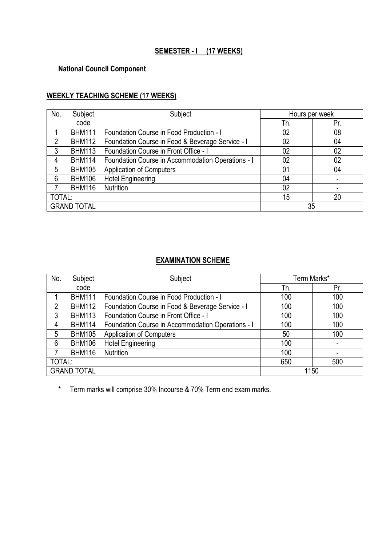# **SEMESTER - I (17 WEEKS)**

# **National Council Component**

# **WEEKLY TEACHING SCHEME (17 WEEKS)**

| No.                      | Subject       | Subject                                           | Hours per week |     |
|--------------------------|---------------|---------------------------------------------------|----------------|-----|
|                          | code          |                                                   | Th.            | Pr. |
|                          | <b>BHM111</b> | Foundation Course in Food Production - I          | 02             | 08  |
| 2                        | <b>BHM112</b> | Foundation Course in Food & Beverage Service - I  | 02             | 04  |
| 3                        | <b>BHM113</b> | Foundation Course in Front Office - I             | 02             | 02  |
| 4                        | <b>BHM114</b> | Foundation Course in Accommodation Operations - I | 02             | 02  |
| 5                        | <b>BHM105</b> | <b>Application of Computers</b>                   | 01             | 04  |
| 6                        | <b>BHM106</b> | <b>Hotel Engineering</b>                          | 04             |     |
|                          | <b>BHM116</b> | Nutrition                                         | 02             |     |
| TOTAL:                   |               | 15                                                | 20             |     |
| <b>GRAND TOTAL</b><br>35 |               |                                                   |                |     |

# **EXAMINATION SCHEME**

| No.                | Subject       | Subject                                           | Term Marks* |     |
|--------------------|---------------|---------------------------------------------------|-------------|-----|
|                    | code          |                                                   | Th.         | Pr. |
|                    | <b>BHM111</b> | Foundation Course in Food Production - I          | 100         | 100 |
| $\overline{2}$     | <b>BHM112</b> | Foundation Course in Food & Beverage Service - I  | 100         | 100 |
| 3                  | <b>BHM113</b> | Foundation Course in Front Office - I             | 100         | 100 |
| 4                  | <b>BHM114</b> | Foundation Course in Accommodation Operations - I | 100         | 100 |
| 5                  | <b>BHM105</b> | <b>Application of Computers</b>                   | 50          | 100 |
| 6                  | <b>BHM106</b> | <b>Hotel Engineering</b>                          | 100         |     |
|                    | <b>BHM116</b> | Nutrition                                         | 100         |     |
| TOTAL:             |               | 650                                               | 500         |     |
| <b>GRAND TOTAL</b> |               | 1150                                              |             |     |

\* Term marks will comprise 30% Incourse & 70% Term end exam marks.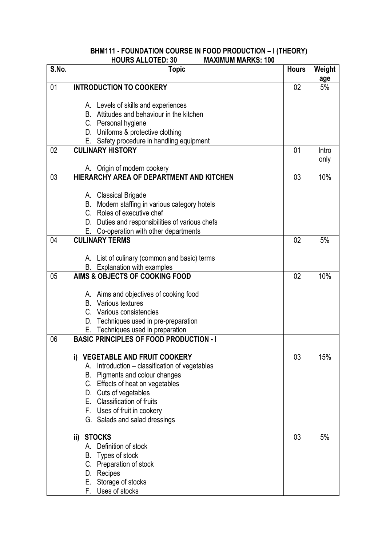#### **BHM111 - FOUNDATION COURSE IN FOOD PRODUCTION – I (THEORY) HOURS ALLOTED: 30 MAXIMUM MARKS: 100**

| S.No. | <b>Topic</b>                                                   | <b>Hours</b> | Weight    |
|-------|----------------------------------------------------------------|--------------|-----------|
| 01    | <b>INTRODUCTION TO COOKERY</b>                                 | 02           | age<br>5% |
|       |                                                                |              |           |
|       | A. Levels of skills and experiences                            |              |           |
|       | B. Attitudes and behaviour in the kitchen                      |              |           |
|       | C. Personal hygiene                                            |              |           |
|       | D. Uniforms & protective clothing                              |              |           |
|       | E. Safety procedure in handling equipment                      |              |           |
| 02    | <b>CULINARY HISTORY</b>                                        | 01           | Intro     |
|       | A. Origin of modern cookery                                    |              | only      |
| 03    | HIERARCHY AREA OF DEPARTMENT AND KITCHEN                       | 03           | 10%       |
|       |                                                                |              |           |
|       | A. Classical Brigade                                           |              |           |
|       | B. Modern staffing in various category hotels                  |              |           |
|       | C. Roles of executive chef                                     |              |           |
|       | D. Duties and responsibilities of various chefs                |              |           |
|       | E. Co-operation with other departments                         |              |           |
| 04    | <b>CULINARY TERMS</b>                                          | 02           | 5%        |
|       |                                                                |              |           |
|       | A. List of culinary (common and basic) terms                   |              |           |
| 05    | B. Explanation with examples<br>AIMS & OBJECTS OF COOKING FOOD | 02           | 10%       |
|       |                                                                |              |           |
|       | A. Aims and objectives of cooking food                         |              |           |
|       | Various textures<br>В.                                         |              |           |
|       | C. Various consistencies                                       |              |           |
|       | D. Techniques used in pre-preparation                          |              |           |
|       | E. Techniques used in preparation                              |              |           |
| 06    | <b>BASIC PRINCIPLES OF FOOD PRODUCTION - I</b>                 |              |           |
|       |                                                                |              |           |
|       | i)<br><b>VEGETABLE AND FRUIT COOKERY</b>                       | 03           | 15%       |
|       | Introduction – classification of vegetables<br>А.              |              |           |
|       | Pigments and colour changes<br>В.                              |              |           |
|       | C. Effects of heat on vegetables<br>D. Cuts of vegetables      |              |           |
|       | E. Classification of fruits                                    |              |           |
|       | F. Uses of fruit in cookery                                    |              |           |
|       | G. Salads and salad dressings                                  |              |           |
|       |                                                                |              |           |
|       | ii) STOCKS                                                     | 03           | 5%        |
|       | Definition of stock<br>А.                                      |              |           |
|       | Types of stock<br>В.                                           |              |           |
|       | C. Preparation of stock                                        |              |           |
|       | Recipes<br>D.                                                  |              |           |
|       | E. Storage of stocks                                           |              |           |
|       | F. Uses of stocks                                              |              |           |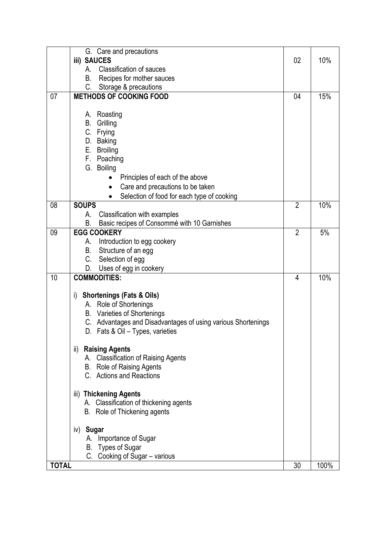|                           | G. Care and precautions                                                                          |                |      |
|---------------------------|--------------------------------------------------------------------------------------------------|----------------|------|
| <b>iii) SAUCES</b>        |                                                                                                  | 02             | 10%  |
| A.                        | <b>Classification of sauces</b>                                                                  |                |      |
| В.                        | Recipes for mother sauces                                                                        |                |      |
| C.                        | Storage & precautions                                                                            |                |      |
| 07                        | <b>METHODS OF COOKING FOOD</b>                                                                   | 04             | 15%  |
|                           |                                                                                                  |                |      |
| Roasting<br>А.            |                                                                                                  |                |      |
| В.<br>Grilling            |                                                                                                  |                |      |
| C. Frying                 |                                                                                                  |                |      |
| D. Baking                 |                                                                                                  |                |      |
| E. Broiling               |                                                                                                  |                |      |
| F. Poaching               |                                                                                                  |                |      |
| G. Boiling                |                                                                                                  |                |      |
| $\bullet$                 | Principles of each of the above                                                                  |                |      |
| $\bullet$                 | Care and precautions to be taken                                                                 |                |      |
|                           | Selection of food for each type of cooking                                                       |                |      |
| 08<br><b>SOUPS</b>        |                                                                                                  | $\overline{2}$ | 10%  |
| А.                        | Classification with examples                                                                     |                |      |
| В.                        | Basic recipes of Consommé with 10 Garnishes                                                      |                |      |
| <b>EGG COOKERY</b><br>09  |                                                                                                  | $\overline{2}$ | 5%   |
| А.                        | Introduction to egg cookery                                                                      |                |      |
| В.                        | Structure of an egg                                                                              |                |      |
| C. Selection of egg       |                                                                                                  |                |      |
| D.                        | Uses of egg in cookery                                                                           |                |      |
| 10<br><b>COMMODITIES:</b> |                                                                                                  | 4              | 10%  |
|                           |                                                                                                  |                |      |
| i)                        | <b>Shortenings (Fats &amp; Oils)</b>                                                             |                |      |
|                           | A. Role of Shortenings<br>B. Varieties of Shortenings                                            |                |      |
|                           |                                                                                                  |                |      |
|                           | C. Advantages and Disadvantages of using various Shortenings<br>D. Fats & Oil – Types, varieties |                |      |
|                           |                                                                                                  |                |      |
| ii) Raising Agents        |                                                                                                  |                |      |
|                           | A. Classification of Raising Agents                                                              |                |      |
|                           | B. Role of Raising Agents                                                                        |                |      |
|                           | C. Actions and Reactions                                                                         |                |      |
| iii) Thickening Agents    |                                                                                                  |                |      |
|                           | A. Classification of thickening agents                                                           |                |      |
|                           | B. Role of Thickening agents                                                                     |                |      |
|                           |                                                                                                  |                |      |
| iv) Sugar                 |                                                                                                  |                |      |
|                           | A. Importance of Sugar                                                                           |                |      |
| B. Types of Sugar         |                                                                                                  |                |      |
|                           | C. Cooking of Sugar - various                                                                    |                |      |
| <b>TOTAL</b>              |                                                                                                  | 30             | 100% |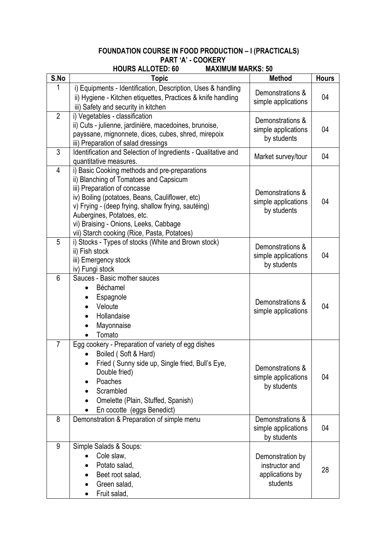#### **FOUNDATION COURSE IN FOOD PRODUCTION – I (PRACTICALS) PART 'A' - COOKERY**<br>**HOURS ALLOTED: 60** MAXIM **MAXIMUM MADKS: 50**

|                | <b>NUURS ALLUTED: 00</b><br>IVIAAIIVIUIVI IVIAKNJ. JU                                                                                                                                                                                                                                                                                                   |                                                                   |              |
|----------------|---------------------------------------------------------------------------------------------------------------------------------------------------------------------------------------------------------------------------------------------------------------------------------------------------------------------------------------------------------|-------------------------------------------------------------------|--------------|
| S.No           | Topic                                                                                                                                                                                                                                                                                                                                                   | <b>Method</b>                                                     | <b>Hours</b> |
|                | i) Equipments - Identification, Description, Uses & handling<br>ii) Hygiene - Kitchen etiquettes, Practices & knife handling<br>iii) Safety and security in kitchen                                                                                                                                                                                     | Demonstrations &<br>simple applications                           | 04           |
| $\overline{2}$ | i) Vegetables - classification<br>ii) Cuts - julienne, jardinière, macedoines, brunoise,<br>payssane, mignonnete, dices, cubes, shred, mirepoix<br>iii) Preparation of salad dressings                                                                                                                                                                  | Demonstrations &<br>simple applications<br>by students            | 04           |
| 3              | Identification and Selection of Ingredients - Qualitative and<br>quantitative measures.                                                                                                                                                                                                                                                                 | Market survey/tour                                                | 04           |
| 4              | i) Basic Cooking methods and pre-preparations<br>ii) Blanching of Tomatoes and Capsicum<br>iii) Preparation of concasse<br>iv) Boiling (potatoes, Beans, Cauliflower, etc)<br>v) Frying - (deep frying, shallow frying, sautéing)<br>Aubergines, Potatoes, etc.<br>vi) Braising - Onions, Leeks, Cabbage<br>vii) Starch cooking (Rice, Pasta, Potatoes) | Demonstrations &<br>simple applications<br>by students            | 04           |
| 5              | i) Stocks - Types of stocks (White and Brown stock)<br>ii) Fish stock<br>iii) Emergency stock<br>iv) Fungi stock                                                                                                                                                                                                                                        | Demonstrations &<br>simple applications<br>by students            | 04           |
| 6              | Sauces - Basic mother sauces<br>Béchamel<br>Espagnole<br>Veloute<br>Hollandaise<br>Mayonnaise<br>Tomato                                                                                                                                                                                                                                                 | Demonstrations &<br>simple applications                           | 04           |
| $\overline{7}$ | Egg cookery - Preparation of variety of egg dishes<br>Boiled (Soft & Hard)<br>Fried (Sunny side up, Single fried, Bull's Eye,<br>Double fried)<br>Poaches<br>Scrambled<br>Omelette (Plain, Stuffed, Spanish)<br>En cocotte (eggs Benedict)                                                                                                              | Demonstrations &<br>simple applications<br>by students            | 04           |
| 8              | Demonstration & Preparation of simple menu                                                                                                                                                                                                                                                                                                              | Demonstrations &<br>simple applications<br>by students            | 04           |
| 9              | Simple Salads & Soups:<br>Cole slaw,<br>Potato salad,<br>Beet root salad,<br>Green salad,<br>Fruit salad,                                                                                                                                                                                                                                               | Demonstration by<br>instructor and<br>applications by<br>students | 28           |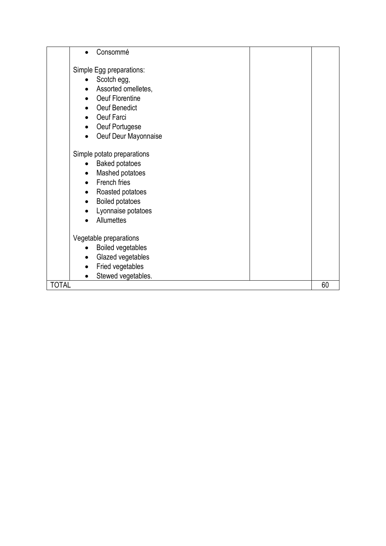| Consommé                              |    |
|---------------------------------------|----|
| Simple Egg preparations:              |    |
| Scotch egg,                           |    |
| Assorted omelletes,                   |    |
| Oeuf Florentine                       |    |
| Oeuf Benedict                         |    |
|                                       |    |
| Oeuf Farci<br>$\bullet$               |    |
| Oeuf Portugese<br>$\bullet$           |    |
| Oeuf Deur Mayonnaise<br>$\bullet$     |    |
| Simple potato preparations            |    |
| <b>Baked potatoes</b><br>$\bullet$    |    |
| Mashed potatoes<br>$\bullet$          |    |
| French fries<br>$\bullet$             |    |
| Roasted potatoes<br>$\bullet$         |    |
| <b>Boiled potatoes</b><br>$\bullet$   |    |
| Lyonnaise potatoes<br>$\bullet$       |    |
| Allumettes<br>$\bullet$               |    |
|                                       |    |
| Vegetable preparations                |    |
| <b>Boiled vegetables</b><br>$\bullet$ |    |
| Glazed vegetables<br>$\bullet$        |    |
| Fried vegetables<br>$\bullet$         |    |
| Stewed vegetables.<br>$\bullet$       |    |
| <b>TOTAL</b>                          | 60 |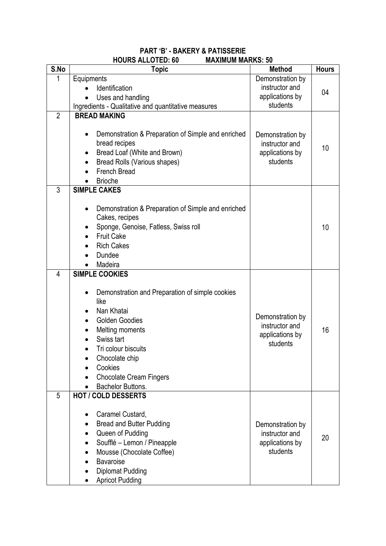# **PART 'B' - BAKERY & PATISSERIE HOURS ALLOTED: 60 MAXIMUM MARKS: 50**

| S.No           | <b>Topic</b>                                                                                                                                                                                                                                                   | <b>Method</b>                                                     | <b>Hours</b> |
|----------------|----------------------------------------------------------------------------------------------------------------------------------------------------------------------------------------------------------------------------------------------------------------|-------------------------------------------------------------------|--------------|
| 1              | Equipments                                                                                                                                                                                                                                                     | Demonstration by                                                  |              |
|                | Identification                                                                                                                                                                                                                                                 | instructor and                                                    | 04           |
|                | Uses and handling                                                                                                                                                                                                                                              | applications by                                                   |              |
|                | Ingredients - Qualitative and quantitative measures                                                                                                                                                                                                            | students                                                          |              |
| $\overline{2}$ | <b>BREAD MAKING</b>                                                                                                                                                                                                                                            |                                                                   |              |
|                | Demonstration & Preparation of Simple and enriched<br>٠<br>bread recipes<br>Bread Loaf (White and Brown)<br>Bread Rolls (Various shapes)<br><b>French Bread</b><br><b>Brioche</b>                                                                              | Demonstration by<br>instructor and<br>applications by<br>students | 10           |
| 3              | <b>SIMPLE CAKES</b>                                                                                                                                                                                                                                            |                                                                   |              |
|                | Demonstration & Preparation of Simple and enriched<br>$\bullet$<br>Cakes, recipes<br>Sponge, Genoise, Fatless, Swiss roll<br><b>Fruit Cake</b><br><b>Rich Cakes</b><br>Dundee<br>Madeira                                                                       |                                                                   | 10           |
| 4              | <b>SIMPLE COOKIES</b>                                                                                                                                                                                                                                          |                                                                   |              |
|                | Demonstration and Preparation of simple cookies<br>like<br>Nan Khatai<br><b>Golden Goodies</b><br>Melting moments<br>Swiss tart<br>Tri colour biscuits<br>$\bullet$<br>Chocolate chip<br>Cookies<br><b>Chocolate Cream Fingers</b><br><b>Bachelor Buttons.</b> | Demonstration by<br>instructor and<br>applications by<br>students | 16           |
| 5              | <b>HOT / COLD DESSERTS</b>                                                                                                                                                                                                                                     |                                                                   |              |
|                | Caramel Custard,<br><b>Bread and Butter Pudding</b><br>Queen of Pudding<br>Soufflé - Lemon / Pineapple<br>Mousse (Chocolate Coffee)<br><b>Bavaroise</b><br><b>Diplomat Pudding</b><br><b>Apricot Pudding</b>                                                   | Demonstration by<br>instructor and<br>applications by<br>students | 20           |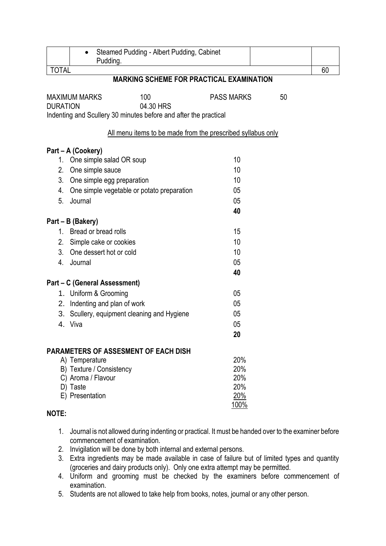|                 | Steamed Pudding - Albert Pudding, Cabinet<br>$\bullet$<br>Pudding. |                   |    |    |
|-----------------|--------------------------------------------------------------------|-------------------|----|----|
| <b>TOTAL</b>    |                                                                    |                   |    | 60 |
|                 | <b>MARKING SCHEME FOR PRACTICAL EXAMINATION</b>                    |                   |    |    |
|                 | 100<br><b>MAXIMUM MARKS</b>                                        | <b>PASS MARKS</b> | 50 |    |
| <b>DURATION</b> | 04.30 HRS                                                          |                   |    |    |
|                 | Indenting and Scullery 30 minutes before and after the practical   |                   |    |    |
|                 | All menu items to be made from the prescribed syllabus only        |                   |    |    |
|                 | Part – A (Cookery)                                                 |                   |    |    |
| $1_{-}$         | One simple salad OR soup                                           | 10                |    |    |
| 2.              | One simple sauce                                                   | 10                |    |    |
| 3.              | One simple egg preparation                                         | 10                |    |    |
| 4.              | One simple vegetable or potato preparation                         | 05                |    |    |
| 5.              | Journal                                                            | 05                |    |    |
|                 |                                                                    | 40                |    |    |
|                 | Part – B (Bakery)                                                  |                   |    |    |
| $1_{-}$         | Bread or bread rolls                                               | 15                |    |    |
| 2.              | Simple cake or cookies                                             | 10                |    |    |
| 3.              | One dessert hot or cold                                            | 10                |    |    |
| 4.              | Journal                                                            | 05                |    |    |
|                 |                                                                    | 40                |    |    |
|                 | Part – C (General Assessment)                                      |                   |    |    |
|                 | 1. Uniform & Grooming                                              | 05                |    |    |
|                 | 2. Indenting and plan of work                                      | 05                |    |    |
|                 | 3. Scullery, equipment cleaning and Hygiene<br>4. Viva             | 05<br>05          |    |    |
|                 |                                                                    | 20                |    |    |
|                 |                                                                    |                   |    |    |
|                 | <b>PARAMETERS OF ASSESMENT OF EACH DISH</b>                        |                   |    |    |
|                 | A) Temperature                                                     | 20%               |    |    |
|                 | B) Texture / Consistency<br>C) Aroma / Flavour                     | 20%<br>20%        |    |    |
|                 | D) Taste                                                           | 20%               |    |    |
|                 | E) Presentation                                                    | 20%               |    |    |
|                 |                                                                    | 100%              |    |    |
| NOTE:           |                                                                    |                   |    |    |
|                 |                                                                    |                   |    |    |

- 1. Journal is not allowed during indenting or practical. It must be handed over to the examiner before commencement of examination.
- 2. Invigilation will be done by both internal and external persons.
- 3. Extra ingredients may be made available in case of failure but of limited types and quantity (groceries and dairy products only). Only one extra attempt may be permitted.
- 4. Uniform and grooming must be checked by the examiners before commencement of examination.
- 5. Students are not allowed to take help from books, notes, journal or any other person.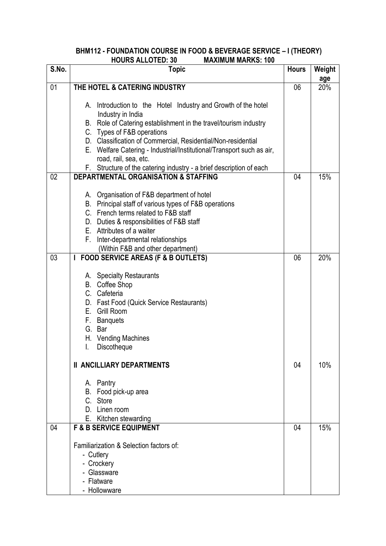#### **BHM112 - FOUNDATION COURSE IN FOOD & BEVERAGE SERVICE – I (THEORY) HOURS ALLOTED: 30 MAXIMUM MARKS: 100**

| S.No. | <b>Topic</b>                                                                                                                                                                                                                                                                                                                                                                                                                  | <b>Hours</b> | Weight     |
|-------|-------------------------------------------------------------------------------------------------------------------------------------------------------------------------------------------------------------------------------------------------------------------------------------------------------------------------------------------------------------------------------------------------------------------------------|--------------|------------|
| 01    | THE HOTEL & CATERING INDUSTRY                                                                                                                                                                                                                                                                                                                                                                                                 | 06           | age<br>20% |
|       | A. Introduction to the Hotel Industry and Growth of the hotel<br>Industry in India<br>B. Role of Catering establishment in the travel/tourism industry<br>C. Types of F&B operations<br>D. Classification of Commercial, Residential/Non-residential<br>E. Welfare Catering - Industrial/Institutional/Transport such as air,<br>road, rail, sea, etc.<br>F. Structure of the catering industry - a brief description of each |              |            |
| 02    | <b>DEPARTMENTAL ORGANISATION &amp; STAFFING</b>                                                                                                                                                                                                                                                                                                                                                                               | 04           | 15%        |
|       | A. Organisation of F&B department of hotel<br>B. Principal staff of various types of F&B operations<br>C. French terms related to F&B staff<br>D. Duties & responsibilities of F&B staff<br>E. Attributes of a waiter<br>F.<br>Inter-departmental relationships<br>(Within F&B and other department)                                                                                                                          |              |            |
| 03    | <b>FOOD SERVICE AREAS (F &amp; B OUTLETS)</b><br>I                                                                                                                                                                                                                                                                                                                                                                            | 06           | 20%        |
|       | A. Specialty Restaurants<br>B. Coffee Shop<br>C. Cafeteria<br>D. Fast Food (Quick Service Restaurants)<br>E. Grill Room<br>F. Banquets<br>G. Bar<br>H. Vending Machines<br>I.<br>Discotheque                                                                                                                                                                                                                                  |              |            |
|       | <b>II ANCILLIARY DEPARTMENTS</b>                                                                                                                                                                                                                                                                                                                                                                                              | 04           | 10%        |
|       | A. Pantry<br>B. Food pick-up area<br>C. Store<br>D. Linen room<br>E. Kitchen stewarding                                                                                                                                                                                                                                                                                                                                       |              |            |
| 04    | <b>F &amp; B SERVICE EQUIPMENT</b>                                                                                                                                                                                                                                                                                                                                                                                            | 04           | 15%        |
|       | Familiarization & Selection factors of:<br>- Cutlery<br>- Crockery<br>- Glassware<br>- Flatware<br>- Hollowware                                                                                                                                                                                                                                                                                                               |              |            |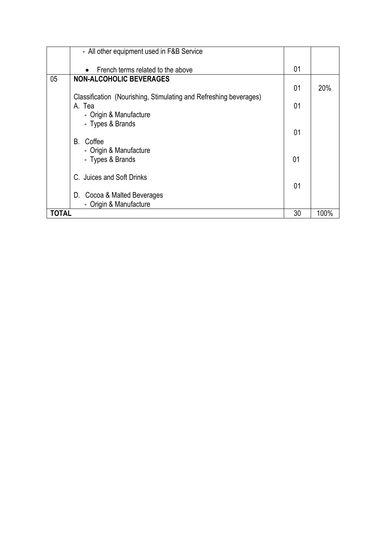|              | - All other equipment used in F&B Service                         |    |      |
|--------------|-------------------------------------------------------------------|----|------|
|              | French terms related to the above<br>$\bullet$                    | 01 |      |
| 05           | <b>NON-ALCOHOLIC BEVERAGES</b>                                    |    |      |
|              |                                                                   | 01 | 20%  |
|              | Classification (Nourishing, Stimulating and Refreshing beverages) |    |      |
|              | A. Tea                                                            | 01 |      |
|              | - Origin & Manufacture                                            |    |      |
|              | - Types & Brands                                                  |    |      |
|              |                                                                   | 01 |      |
|              | B. Coffee                                                         |    |      |
|              | - Origin & Manufacture                                            |    |      |
|              | - Types & Brands                                                  | 01 |      |
|              |                                                                   |    |      |
|              | C. Juices and Soft Drinks                                         |    |      |
|              |                                                                   | 01 |      |
|              | D. Cocoa & Malted Beverages                                       |    |      |
|              | - Origin & Manufacture                                            |    |      |
| <b>TOTAL</b> |                                                                   | 30 | 100% |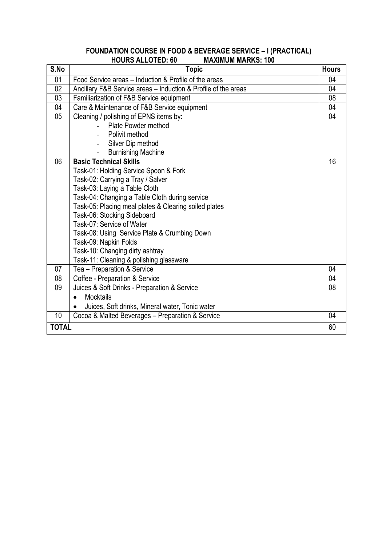#### **FOUNDATION COURSE IN FOOD & BEVERAGE SERVICE – I (PRACTICAL) HOURS ALLOTED: 60 MAXIMUM MARKS: 100**

| S.No            | <b>Topic</b>                                                   | <b>Hours</b> |
|-----------------|----------------------------------------------------------------|--------------|
| 01              | Food Service areas - Induction & Profile of the areas          | 04           |
| 02              | Ancillary F&B Service areas - Induction & Profile of the areas | 04           |
| 03              | Familiarization of F&B Service equipment                       | 08           |
| 04              | Care & Maintenance of F&B Service equipment                    | 04           |
| 05 <sub>0</sub> | Cleaning / polishing of EPNS items by:                         | 04           |
|                 | Plate Powder method                                            |              |
|                 | Polivit method                                                 |              |
|                 | Silver Dip method                                              |              |
|                 | <b>Burnishing Machine</b>                                      |              |
| 06              | <b>Basic Technical Skills</b>                                  | 16           |
|                 | Task-01: Holding Service Spoon & Fork                          |              |
|                 | Task-02: Carrying a Tray / Salver                              |              |
|                 | Task-03: Laying a Table Cloth                                  |              |
|                 | Task-04: Changing a Table Cloth during service                 |              |
|                 | Task-05: Placing meal plates & Clearing soiled plates          |              |
|                 | Task-06: Stocking Sideboard                                    |              |
|                 | Task-07: Service of Water                                      |              |
|                 | Task-08: Using Service Plate & Crumbing Down                   |              |
|                 | Task-09: Napkin Folds                                          |              |
|                 | Task-10: Changing dirty ashtray                                |              |
|                 | Task-11: Cleaning & polishing glassware                        |              |
| 07              | Tea - Preparation & Service                                    | 04           |
| 08              | Coffee - Preparation & Service                                 | 04           |
| 09              | Juices & Soft Drinks - Preparation & Service                   | 08           |
|                 | <b>Mocktails</b>                                               |              |
|                 | Juices, Soft drinks, Mineral water, Tonic water                |              |
| 10              | Cocoa & Malted Beverages - Preparation & Service               | 04           |
| <b>TOTAL</b>    |                                                                | 60           |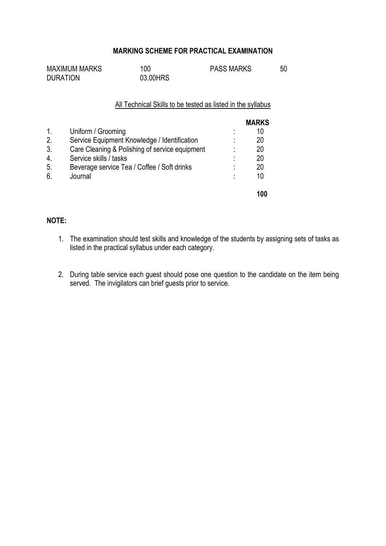### **MARKING SCHEME FOR PRACTICAL EXAMINATION**

| <b>MAXIMUM MARKS</b> | 100      | <b>PASS MARKS</b> | 50 |
|----------------------|----------|-------------------|----|
| <b>DURATION</b>      | 03.00HRS |                   |    |

#### All Technical Skills to be tested as listed in the syllabus

|    |                                                |   | <b>MARKS</b> |
|----|------------------------------------------------|---|--------------|
| 1. | Uniform / Grooming                             | ٠ | 10           |
| 2. | Service Equipment Knowledge / Identification   | ٠ | 20           |
| 3. | Care Cleaning & Polishing of service equipment | ٠ | 20           |
| 4. | Service skills / tasks                         | ٠ | 20           |
| 5. | Beverage service Tea / Coffee / Soft drinks    | ٠ | 20           |
| 6. | Journal                                        | ٠ | 10           |
|    |                                                |   | 100          |

### **NOTE:**

- 1. The examination should test skills and knowledge of the students by assigning sets of tasks as listed in the practical syllabus under each category.
- 2. During table service each guest should pose one question to the candidate on the item being served. The invigilators can brief guests prior to service.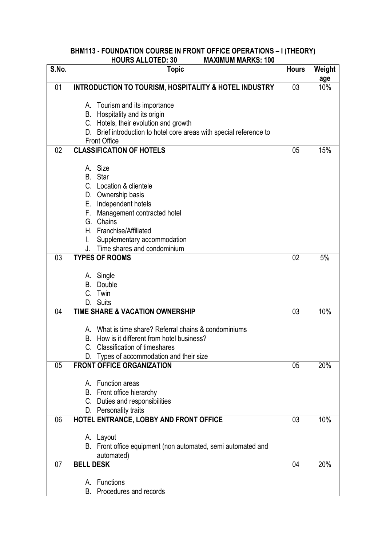#### **BHM113 - FOUNDATION COURSE IN FRONT OFFICE OPERATIONS – I (THEORY) HOURS ALLOTED: 30 MAXIMUM MARKS: 100**

| S.No. | <b>Topic</b>                                                                                            | <b>Hours</b> | Weight     |
|-------|---------------------------------------------------------------------------------------------------------|--------------|------------|
| 01    | <b>INTRODUCTION TO TOURISM, HOSPITALITY &amp; HOTEL INDUSTRY</b>                                        | 03           | age<br>10% |
|       |                                                                                                         |              |            |
|       | A. Tourism and its importance                                                                           |              |            |
|       | B. Hospitality and its origin                                                                           |              |            |
|       | C. Hotels, their evolution and growth                                                                   |              |            |
|       | D. Brief introduction to hotel core areas with special reference to<br><b>Front Office</b>              |              |            |
| 02    | <b>CLASSIFICATION OF HOTELS</b>                                                                         | 05           | 15%        |
|       |                                                                                                         |              |            |
|       | A. Size                                                                                                 |              |            |
|       | B. Star                                                                                                 |              |            |
|       | C. Location & clientele                                                                                 |              |            |
|       | D. Ownership basis                                                                                      |              |            |
|       | E. Independent hotels<br>Management contracted hotel<br>F.                                              |              |            |
|       | G. Chains                                                                                               |              |            |
|       | H. Franchise/Affiliated                                                                                 |              |            |
|       | Supplementary accommodation                                                                             |              |            |
|       | Time shares and condominium<br>J.                                                                       |              |            |
| 03    | <b>TYPES OF ROOMS</b>                                                                                   | 02           | 5%         |
|       | A. Single                                                                                               |              |            |
|       | Double<br>В.                                                                                            |              |            |
|       | C. Twin                                                                                                 |              |            |
|       | D. Suits                                                                                                |              |            |
| 04    | <b>TIME SHARE &amp; VACATION OWNERSHIP</b>                                                              | 03           | 10%        |
|       |                                                                                                         |              |            |
|       | A. What is time share? Referral chains & condominiums<br>How is it different from hotel business?<br>В. |              |            |
|       | <b>Classification of timeshares</b><br>C.                                                               |              |            |
|       | Types of accommodation and their size                                                                   |              |            |
| 05    | <b>FRONT OFFICE ORGANIZATION</b>                                                                        | 05           | 20%        |
|       |                                                                                                         |              |            |
|       | A. Function areas                                                                                       |              |            |
|       | B. Front office hierarchy<br>C. Duties and responsibilities                                             |              |            |
|       | D. Personality traits                                                                                   |              |            |
| 06    | HOTEL ENTRANCE, LOBBY AND FRONT OFFICE                                                                  | 03           | 10%        |
|       |                                                                                                         |              |            |
|       | A. Layout                                                                                               |              |            |
|       | B. Front office equipment (non automated, semi automated and                                            |              |            |
| 07    | automated)<br><b>BELL DESK</b>                                                                          | 04           | 20%        |
|       |                                                                                                         |              |            |
|       | A. Functions                                                                                            |              |            |
|       | B. Procedures and records                                                                               |              |            |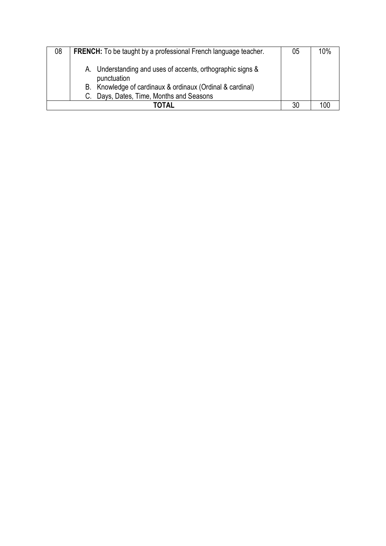| 08 | <b>FRENCH:</b> To be taught by a professional French language teacher.                                                                                                             | 05 | 10% |
|----|------------------------------------------------------------------------------------------------------------------------------------------------------------------------------------|----|-----|
|    | A. Understanding and uses of accents, orthographic signs &<br>punctuation<br>B. Knowledge of cardinaux & ordinaux (Ordinal & cardinal)<br>C. Days, Dates, Time, Months and Seasons |    |     |
|    | ΓΟΤΑΙ                                                                                                                                                                              | 30 |     |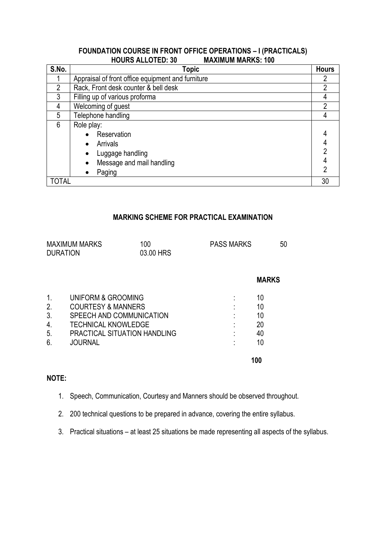#### **FOUNDATION COURSE IN FRONT OFFICE OPERATIONS – I (PRACTICALS) HOURS ALLOTED: 30**

| S.No.          | <b>Topic</b>                                      | <b>Hours</b> |
|----------------|---------------------------------------------------|--------------|
|                | Appraisal of front office equipment and furniture |              |
| $\mathfrak{p}$ | Rack, Front desk counter & bell desk              | າ            |
| 3              | Filling up of various proforma                    |              |
| 4              | Welcoming of guest                                | າ            |
| 5              | Telephone handling                                |              |
| 6              | Role play:                                        |              |
|                | Reservation                                       |              |
|                | Arrivals<br>$\bullet$                             |              |
|                | Luggage handling<br>$\bullet$                     |              |
|                | Message and mail handling<br>$\bullet$            |              |
|                | Paging<br>$\bullet$                               |              |
| TOTAL          |                                                   | 30           |

### **MARKING SCHEME FOR PRACTICAL EXAMINATION**

|    | <b>MAXIMUM MARKS</b><br><b>DURATION</b> | 100<br>03.00 HRS                    | <b>PASS MARKS</b> | 50           |
|----|-----------------------------------------|-------------------------------------|-------------------|--------------|
|    |                                         |                                     |                   | <b>MARKS</b> |
| 1. | UNIFORM & GROOMING                      |                                     |                   | 10           |
| 2. | <b>COURTESY &amp; MANNERS</b>           |                                     |                   | 10           |
| 3. | SPEECH AND COMMUNICATION                |                                     |                   | 10           |
| 4. | <b>TECHNICAL KNOWLEDGE</b>              |                                     |                   | 20           |
| 5. |                                         | <b>PRACTICAL SITUATION HANDLING</b> |                   | 40           |
| 6. | <b>JOURNAL</b>                          |                                     |                   | 10           |
|    |                                         |                                     |                   | 100          |

# **NOTE:**

- 1. Speech, Communication, Courtesy and Manners should be observed throughout.
- 2. 200 technical questions to be prepared in advance, covering the entire syllabus.
- 3. Practical situations at least 25 situations be made representing all aspects of the syllabus.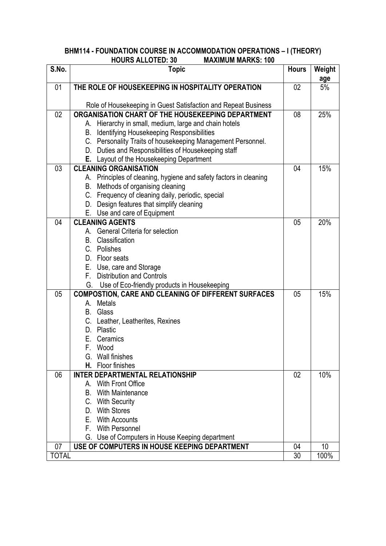#### **BHM114 - FOUNDATION COURSE IN ACCOMMODATION OPERATIONS – I (THEORY) HOURS ALLOTED: 30 MAXIMUM MARKS: 100**

| S.No.        | <b>Topic</b>                                                              | <b>Hours</b> | Weight<br>age |
|--------------|---------------------------------------------------------------------------|--------------|---------------|
| 01           | THE ROLE OF HOUSEKEEPING IN HOSPITALITY OPERATION                         | 02           | 5%            |
|              |                                                                           |              |               |
|              | Role of Housekeeping in Guest Satisfaction and Repeat Business            |              |               |
| 02           | ORGANISATION CHART OF THE HOUSEKEEPING DEPARTMENT                         | 08           | 25%           |
|              | A. Hierarchy in small, medium, large and chain hotels                     |              |               |
|              | <b>B.</b> Identifying Housekeeping Responsibilities                       |              |               |
|              | C. Personality Traits of housekeeping Management Personnel.               |              |               |
|              | D. Duties and Responsibilities of Housekeeping staff                      |              |               |
|              | E. Layout of the Housekeeping Department                                  |              |               |
| 03           | <b>CLEANING ORGANISATION</b>                                              | 04           | 15%           |
|              | A. Principles of cleaning, hygiene and safety factors in cleaning         |              |               |
|              | B. Methods of organising cleaning                                         |              |               |
|              | C. Frequency of cleaning daily, periodic, special                         |              |               |
|              | D. Design features that simplify cleaning<br>E. Use and care of Equipment |              |               |
| 04           | <b>CLEANING AGENTS</b>                                                    | 05           | 20%           |
|              | A. General Criteria for selection                                         |              |               |
|              | <b>B.</b> Classification                                                  |              |               |
|              | C. Polishes                                                               |              |               |
|              | D. Floor seats                                                            |              |               |
|              | E. Use, care and Storage                                                  |              |               |
|              | F. Distribution and Controls                                              |              |               |
|              | G. Use of Eco-friendly products in Housekeeping                           |              |               |
| 05           | <b>COMPOSTION, CARE AND CLEANING OF DIFFERENT SURFACES</b>                | 05           | 15%           |
|              | <b>Metals</b><br>А.                                                       |              |               |
|              | B. Glass                                                                  |              |               |
|              | C. Leather, Leatherites, Rexines                                          |              |               |
|              | D. Plastic                                                                |              |               |
|              | Е.<br>Ceramics                                                            |              |               |
|              | F. Wood                                                                   |              |               |
|              | G. Wall finishes                                                          |              |               |
|              | H. Floor finishes                                                         |              |               |
| 06           | <b>INTER DEPARTMENTAL RELATIONSHIP</b>                                    | 02           | 10%           |
|              | A. With Front Office                                                      |              |               |
|              | With Maintenance<br>В.                                                    |              |               |
|              | C. With Security                                                          |              |               |
|              | <b>With Stores</b><br>D.                                                  |              |               |
|              | E. With Accounts                                                          |              |               |
|              | F. With Personnel                                                         |              |               |
|              | G. Use of Computers in House Keeping department                           |              |               |
| 07           | USE OF COMPUTERS IN HOUSE KEEPING DEPARTMENT                              | 04           | 10            |
| <b>TOTAL</b> |                                                                           | 30           | 100%          |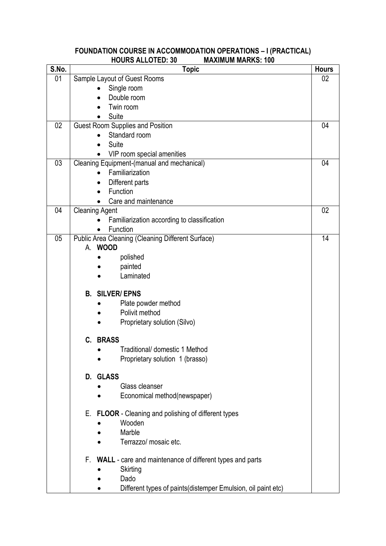### **FOUNDATION COURSE IN ACCOMMODATION OPERATIONS – I (PRACTICAL) HOURS ALLOTED: 30 MAXIMUM MARKS: 100**

| S.No. | <b>Topic</b>                                                 | <b>Hours</b> |
|-------|--------------------------------------------------------------|--------------|
| 01    | Sample Layout of Guest Rooms                                 | 02           |
|       | Single room                                                  |              |
|       | Double room                                                  |              |
|       | Twin room                                                    |              |
|       | Suite                                                        |              |
| 02    | <b>Guest Room Supplies and Position</b>                      | 04           |
|       | Standard room                                                |              |
|       | Suite                                                        |              |
|       | VIP room special amenities                                   |              |
| 03    | Cleaning Equipment-(manual and mechanical)                   | 04           |
|       | Familiarization                                              |              |
|       | Different parts                                              |              |
|       | Function                                                     |              |
|       | Care and maintenance                                         |              |
| 04    | <b>Cleaning Agent</b>                                        | 02           |
|       | Familiarization according to classification                  |              |
|       | Function                                                     |              |
| 05    | Public Area Cleaning (Cleaning Different Surface)            | 14           |
|       | A. WOOD                                                      |              |
|       | polished                                                     |              |
|       | painted                                                      |              |
|       | Laminated                                                    |              |
|       |                                                              |              |
|       | <b>B. SILVER/EPNS</b>                                        |              |
|       | Plate powder method                                          |              |
|       | Polivit method                                               |              |
|       | Proprietary solution (Silvo)                                 |              |
|       | <b>BRASS</b><br>C.                                           |              |
|       | Traditional/ domestic 1 Method                               |              |
|       | Proprietary solution 1 (brasso)                              |              |
|       |                                                              |              |
|       | D. GLASS                                                     |              |
|       | Glass cleanser                                               |              |
|       | Economical method(newspaper)                                 |              |
|       |                                                              |              |
|       | E. FLOOR - Cleaning and polishing of different types         |              |
|       | Wooden                                                       |              |
|       | Marble                                                       |              |
|       | Terrazzo/ mosaic etc.                                        |              |
|       |                                                              |              |
|       | F. WALL - care and maintenance of different types and parts  |              |
|       | Skirting                                                     |              |
|       | Dado                                                         |              |
|       | Different types of paints(distemper Emulsion, oil paint etc) |              |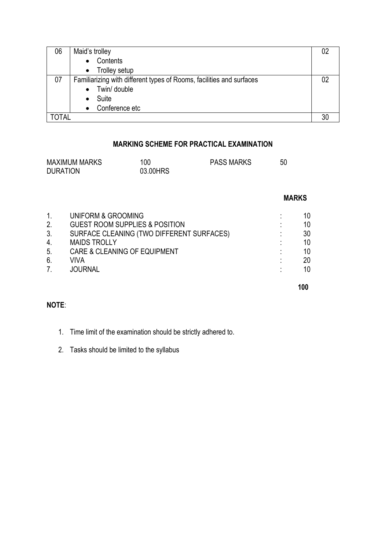| 06    | Maid's trolley                                                       |    |
|-------|----------------------------------------------------------------------|----|
|       | Contents                                                             |    |
|       | • Trolley setup                                                      |    |
| 07    | Familiarizing with different types of Rooms, facilities and surfaces | 02 |
|       | Twin/ double<br>$\bullet$                                            |    |
|       | Suite                                                                |    |
|       | Conference etc<br>$\bullet$                                          |    |
| TOTAL |                                                                      |    |

# **MARKING SCHEME FOR PRACTICAL EXAMINATION**

| <b>MAXIMUM MARKS</b> | 100      | <b>PASS MARKS</b> | 50 |
|----------------------|----------|-------------------|----|
| <b>DURATION</b>      | 03.00HRS |                   |    |

|                  |                                           |   | <b>MARKS</b> |
|------------------|-------------------------------------------|---|--------------|
| $\mathbf{1}$ .   | UNIFORM & GROOMING                        |   | 10           |
| 2.               | <b>GUEST ROOM SUPPLIES &amp; POSITION</b> |   | 10           |
| 3.               | SURFACE CLEANING (TWO DIFFERENT SURFACES) |   | 30           |
| $\overline{4}$ . | <b>MAIDS TROLLY</b>                       | ٠ | 10           |
| 5.               | <b>CARE &amp; CLEANING OF EQUIPMENT</b>   |   | 10           |
| 6.               | VIVA                                      | ٠ | 20           |
| 7.               | <b>JOURNAL</b>                            | ٠ | 10           |
|                  |                                           |   | 100          |

# **NOTE**:

- 1. Time limit of the examination should be strictly adhered to.
- 2. Tasks should be limited to the syllabus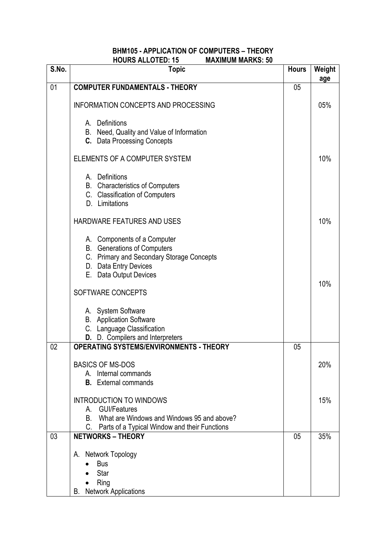### **BHM105 - APPLICATION OF COMPUTERS – THEORY HOURS ALLOTED: 15**

| S.No. | <b>Topic</b>                                                                                                                                                      | <b>Hours</b> | Weight |
|-------|-------------------------------------------------------------------------------------------------------------------------------------------------------------------|--------------|--------|
| 01    | <b>COMPUTER FUNDAMENTALS - THEORY</b>                                                                                                                             | 05           | age    |
|       | <b>INFORMATION CONCEPTS AND PROCESSING</b>                                                                                                                        |              | 05%    |
|       | Definitions<br>A.<br>B. Need, Quality and Value of Information<br><b>C.</b> Data Processing Concepts                                                              |              |        |
|       | ELEMENTS OF A COMPUTER SYSTEM                                                                                                                                     |              | 10%    |
|       | A. Definitions<br><b>B.</b> Characteristics of Computers<br>C. Classification of Computers<br>D. Limitations                                                      |              |        |
|       | <b>HARDWARE FEATURES AND USES</b>                                                                                                                                 |              | 10%    |
|       | A. Components of a Computer<br><b>B.</b> Generations of Computers<br>C. Primary and Secondary Storage Concepts<br>D. Data Entry Devices<br>E. Data Output Devices |              |        |
|       | SOFTWARE CONCEPTS                                                                                                                                                 |              | 10%    |
|       | A. System Software<br><b>B.</b> Application Software<br>C. Language Classification<br>D. D. Compilers and Interpreters                                            |              |        |
| 02    | <b>OPERATING SYSTEMS/ENVIRONMENTS - THEORY</b>                                                                                                                    | 05           |        |
|       | <b>BASICS OF MS-DOS</b><br>A. Internal commands<br><b>B.</b> External commands                                                                                    |              | 20%    |
|       | <b>INTRODUCTION TO WINDOWS</b><br>A. GUI/Features<br>What are Windows and Windows 95 and above?<br>B.<br>C. Parts of a Typical Window and their Functions         |              | 15%    |
| 03    | <b>NETWORKS - THEORY</b>                                                                                                                                          | 05           | 35%    |
|       | A. Network Topology<br><b>Bus</b><br>Star<br>Ring<br><b>B.</b> Network Applications                                                                               |              |        |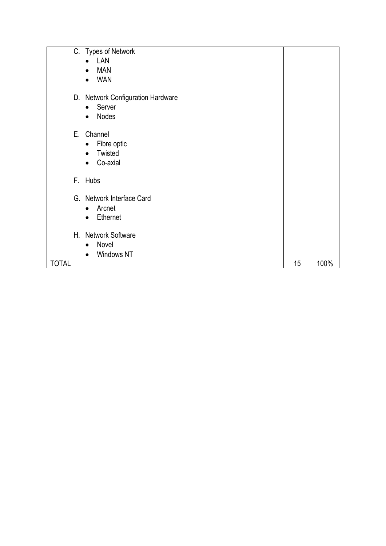| C. Types of Network               |    |      |
|-----------------------------------|----|------|
| LAN<br>$\bullet$                  |    |      |
| <b>MAN</b><br>$\bullet$           |    |      |
| <b>WAN</b><br>$\bullet$           |    |      |
|                                   |    |      |
| D. Network Configuration Hardware |    |      |
| Server<br>$\bullet$               |    |      |
| Nodes<br>$\bullet$                |    |      |
|                                   |    |      |
| E. Channel                        |    |      |
| Fibre optic<br>$\bullet$          |    |      |
| Twisted<br>$\bullet$              |    |      |
| Co-axial<br>$\bullet$             |    |      |
| F. Hubs                           |    |      |
|                                   |    |      |
| G. Network Interface Card         |    |      |
| Arcnet<br>$\bullet$               |    |      |
| Ethernet<br>$\bullet$             |    |      |
|                                   |    |      |
| H. Network Software               |    |      |
| Novel<br>$\bullet$                |    |      |
| Windows NT<br>$\bullet$           |    |      |
| <b>TOTAL</b>                      | 15 | 100% |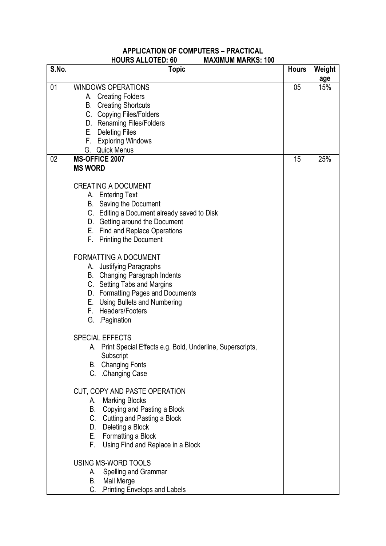#### **APPLICATION OF COMPUTERS – PRACTICAL HOURS ALLOTED: 60 MAXIMUM MARKS: 100**

| S.No. | ,,,,,,,,,,,<br><b>Topic</b>                                                                                                                                                                                                                                                                            | <b>Hours</b> | Weight<br>age |
|-------|--------------------------------------------------------------------------------------------------------------------------------------------------------------------------------------------------------------------------------------------------------------------------------------------------------|--------------|---------------|
| 01    | <b>WINDOWS OPERATIONS</b><br>A. Creating Folders<br><b>B.</b> Creating Shortcuts<br>C. Copying Files/Folders<br>D. Renaming Files/Folders<br>E. Deleting Files<br>F. Exploring Windows<br>G. Quick Menus                                                                                               | 05           | 15%           |
| 02    | <b>MS-OFFICE 2007</b><br><b>MS WORD</b><br><b>CREATING A DOCUMENT</b><br>A. Entering Text<br><b>B.</b> Saving the Document<br>C. Editing a Document already saved to Disk                                                                                                                              | 15           | 25%           |
|       | D. Getting around the Document<br>E. Find and Replace Operations<br>F. Printing the Document<br><b>FORMATTING A DOCUMENT</b><br>A. Justifying Paragraphs<br><b>B.</b> Changing Paragraph Indents<br>C. Setting Tabs and Margins<br>D. Formatting Pages and Documents<br>E. Using Bullets and Numbering |              |               |
|       | F. Headers/Footers<br>G. Pagination<br><b>SPECIAL EFFECTS</b><br>A. Print Special Effects e.g. Bold, Underline, Superscripts,<br>Subscript<br><b>B.</b> Changing Fonts<br>C. Changing Case                                                                                                             |              |               |
|       | CUT, COPY AND PASTE OPERATION<br><b>Marking Blocks</b><br>А.<br>Copying and Pasting a Block<br>В.<br>C. Cutting and Pasting a Block<br>D. Deleting a Block<br>E. Formatting a Block<br>Using Find and Replace in a Block<br>F.                                                                         |              |               |
|       | USING MS-WORD TOOLS<br>Spelling and Grammar<br>А.<br>Mail Merge<br>В.<br>C. Printing Envelops and Labels                                                                                                                                                                                               |              |               |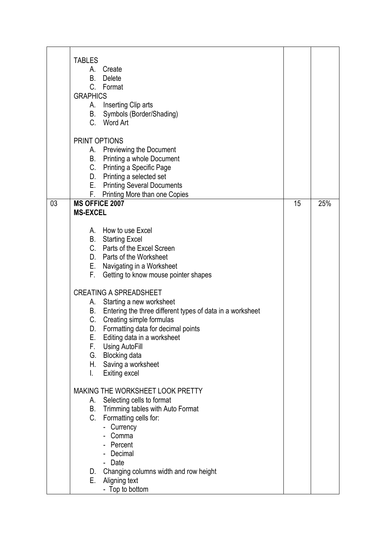|    | <b>TABLES</b><br>A. Create<br>В.<br><b>Delete</b><br>C. Format<br><b>GRAPHICS</b><br>A. Inserting Clip arts<br>Symbols (Border/Shading)<br>В.<br>C. Word Art |    |     |
|----|--------------------------------------------------------------------------------------------------------------------------------------------------------------|----|-----|
|    | PRINT OPTIONS<br>A. Previewing the Document                                                                                                                  |    |     |
|    | B. Printing a whole Document<br>C. Printing a Specific Page<br>D. Printing a selected set<br>E. Printing Several Documents                                   |    |     |
|    | F. Printing More than one Copies                                                                                                                             |    |     |
| 03 | <b>MS OFFICE 2007</b>                                                                                                                                        | 15 | 25% |
|    | <b>MS-EXCEL</b>                                                                                                                                              |    |     |
|    | A. How to use Excel                                                                                                                                          |    |     |
|    | <b>B.</b> Starting Excel                                                                                                                                     |    |     |
|    | C. Parts of the Excel Screen<br>D. Parts of the Worksheet                                                                                                    |    |     |
|    | E. Navigating in a Worksheet                                                                                                                                 |    |     |
|    | F.<br>Getting to know mouse pointer shapes                                                                                                                   |    |     |
|    | <b>CREATING A SPREADSHEET</b>                                                                                                                                |    |     |
|    | A. Starting a new worksheet                                                                                                                                  |    |     |
|    | B. Entering the three different types of data in a worksheet                                                                                                 |    |     |
|    | C.<br>Creating simple formulas                                                                                                                               |    |     |
|    | Formatting data for decimal points<br>D.                                                                                                                     |    |     |
|    | Е.<br>Editing data in a worksheet                                                                                                                            |    |     |
|    | F.<br>Using AutoFill<br>G.                                                                                                                                   |    |     |
|    | Blocking data<br>H. Saving a worksheet                                                                                                                       |    |     |
|    | Exiting excel<br>L.                                                                                                                                          |    |     |
|    | MAKING THE WORKSHEET LOOK PRETTY                                                                                                                             |    |     |
|    | Selecting cells to format<br>А.                                                                                                                              |    |     |
|    | Trimming tables with Auto Format<br>В.                                                                                                                       |    |     |
|    | C.<br>Formatting cells for:                                                                                                                                  |    |     |
|    | - Currency                                                                                                                                                   |    |     |
|    | Comma<br>Percent                                                                                                                                             |    |     |
|    | - Decimal                                                                                                                                                    |    |     |
|    | - Date                                                                                                                                                       |    |     |
|    | Changing columns width and row height<br>D.                                                                                                                  |    |     |
|    | Е.<br>Aligning text                                                                                                                                          |    |     |
|    | - Top to bottom                                                                                                                                              |    |     |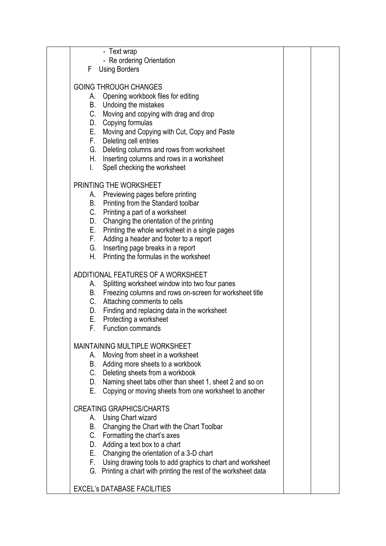|              | - Text wrap                                                      |  |
|--------------|------------------------------------------------------------------|--|
| F            | - Re ordering Orientation<br><b>Using Borders</b>                |  |
|              |                                                                  |  |
|              | <b>GOING THROUGH CHANGES</b>                                     |  |
|              | A. Opening workbook files for editing                            |  |
|              | B. Undoing the mistakes                                          |  |
|              | C. Moving and copying with drag and drop                         |  |
|              | D. Copying formulas                                              |  |
|              | E. Moving and Copying with Cut, Copy and Paste                   |  |
|              | F. Deleting cell entries                                         |  |
|              | G. Deleting columns and rows from worksheet                      |  |
|              | H. Inserting columns and rows in a worksheet                     |  |
| $\mathbf{L}$ | Spell checking the worksheet                                     |  |
|              | PRINTING THE WORKSHEET                                           |  |
| А.           | Previewing pages before printing                                 |  |
|              | B. Printing from the Standard toolbar                            |  |
|              | C. Printing a part of a worksheet                                |  |
|              | D. Changing the orientation of the printing                      |  |
|              | E. Printing the whole worksheet in a single pages                |  |
|              | F. Adding a header and footer to a report                        |  |
|              | G. Inserting page breaks in a report                             |  |
| H.           | Printing the formulas in the worksheet                           |  |
|              | ADDITIONAL FEATURES OF A WORKSHEET                               |  |
| А.           | Splitting worksheet window into two four panes                   |  |
|              | B. Freezing columns and rows on-screen for worksheet title       |  |
|              | C. Attaching comments to cells                                   |  |
|              | D. Finding and replacing data in the worksheet                   |  |
|              | E. Protecting a worksheet                                        |  |
| F.           | <b>Function commands</b>                                         |  |
|              | <b>MAINTAINING MULTIPLE WORKSHEET</b>                            |  |
|              | A. Moving from sheet in a worksheet                              |  |
|              | B. Adding more sheets to a workbook                              |  |
|              | C. Deleting sheets from a workbook                               |  |
|              | D. Naming sheet tabs other than sheet 1, sheet 2 and so on       |  |
|              | E. Copying or moving sheets from one worksheet to another        |  |
|              | <b>CREATING GRAPHICS/CHARTS</b>                                  |  |
|              | A. Using Chart wizard                                            |  |
|              | B. Changing the Chart with the Chart Toolbar                     |  |
|              | C. Formatting the chart's axes                                   |  |
|              | D. Adding a text box to a chart                                  |  |
|              | E. Changing the orientation of a 3-D chart                       |  |
|              | F. Using drawing tools to add graphics to chart and worksheet    |  |
|              | G. Printing a chart with printing the rest of the worksheet data |  |
|              | <b>EXCEL'S DATABASE FACILITIES</b>                               |  |
|              |                                                                  |  |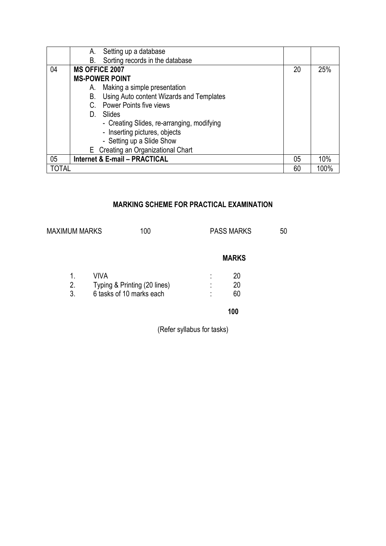|       | А.                    | Setting up a database                      |    |      |
|-------|-----------------------|--------------------------------------------|----|------|
|       | В.                    | Sorting records in the database            |    |      |
| 04    | <b>MS OFFICE 2007</b> |                                            | 20 | 25%  |
|       |                       | <b>MS-POWER POINT</b>                      |    |      |
|       | А.                    | Making a simple presentation               |    |      |
|       | В.                    | Using Auto content Wizards and Templates   |    |      |
|       | C.                    | <b>Power Points five views</b>             |    |      |
|       | D.                    | Slides                                     |    |      |
|       |                       | - Creating Slides, re-arranging, modifying |    |      |
|       |                       | - Inserting pictures, objects              |    |      |
|       |                       | - Setting up a Slide Show                  |    |      |
|       |                       | E Creating an Organizational Chart         |    |      |
| 05    |                       | <b>Internet &amp; E-mail - PRACTICAL</b>   | 05 | 10%  |
| TOTAL |                       |                                            | 60 | 100% |

# **MARKING SCHEME FOR PRACTICAL EXAMINATION**

| <b>MAXIMUM MARKS</b> | 100                          |                     | <b>PASS MARKS</b> | 50 |
|----------------------|------------------------------|---------------------|-------------------|----|
|                      |                              |                     | <b>MARKS</b>      |    |
| 1.                   | VIVA                         | ٠<br>$\blacksquare$ | 20                |    |
| 2.                   | Typing & Printing (20 lines) | ٠<br>$\blacksquare$ | 20                |    |
| 3.                   | 6 tasks of 10 marks each     | ٠                   | 60                |    |
|                      |                              |                     | 100               |    |
|                      |                              |                     |                   |    |

(Refer syllabus for tasks)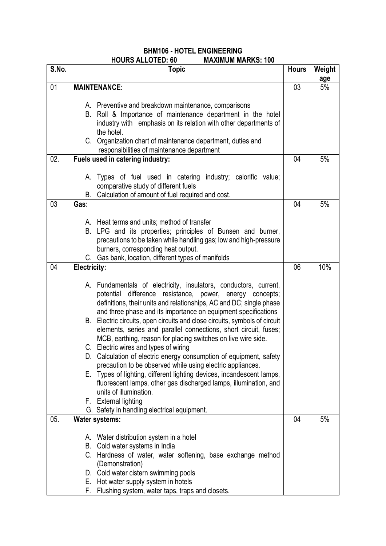### **BHM106 - HOTEL ENGINEERING HOURS ALLOTED: 60 MAXIMUM MARKS: 100**

| S.No. | <b>Topic</b>                                                                                                                                                                                                                                                                                                                                                                                                                                                                                                                                                                                                                                                                                                                                                                                                                                                                                                        | <b>Hours</b> | Weight |
|-------|---------------------------------------------------------------------------------------------------------------------------------------------------------------------------------------------------------------------------------------------------------------------------------------------------------------------------------------------------------------------------------------------------------------------------------------------------------------------------------------------------------------------------------------------------------------------------------------------------------------------------------------------------------------------------------------------------------------------------------------------------------------------------------------------------------------------------------------------------------------------------------------------------------------------|--------------|--------|
|       |                                                                                                                                                                                                                                                                                                                                                                                                                                                                                                                                                                                                                                                                                                                                                                                                                                                                                                                     |              | age    |
| 01    | <b>MAINTENANCE:</b>                                                                                                                                                                                                                                                                                                                                                                                                                                                                                                                                                                                                                                                                                                                                                                                                                                                                                                 | 03           | 5%     |
|       | A. Preventive and breakdown maintenance, comparisons<br>B. Roll & Importance of maintenance department in the hotel<br>industry with emphasis on its relation with other departments of<br>the hotel.<br>C. Organization chart of maintenance department, duties and<br>responsibilities of maintenance department                                                                                                                                                                                                                                                                                                                                                                                                                                                                                                                                                                                                  |              |        |
| 02.   | Fuels used in catering industry:                                                                                                                                                                                                                                                                                                                                                                                                                                                                                                                                                                                                                                                                                                                                                                                                                                                                                    | 04           | 5%     |
|       | A. Types of fuel used in catering industry; calorific value;<br>comparative study of different fuels<br>Calculation of amount of fuel required and cost.<br>В.                                                                                                                                                                                                                                                                                                                                                                                                                                                                                                                                                                                                                                                                                                                                                      |              |        |
| 03    | Gas:                                                                                                                                                                                                                                                                                                                                                                                                                                                                                                                                                                                                                                                                                                                                                                                                                                                                                                                | 04           | 5%     |
|       | A. Heat terms and units; method of transfer<br>B. LPG and its properties; principles of Bunsen and burner,<br>precautions to be taken while handling gas; low and high-pressure<br>burners, corresponding heat output.<br>C. Gas bank, location, different types of manifolds                                                                                                                                                                                                                                                                                                                                                                                                                                                                                                                                                                                                                                       |              |        |
| 04    | <b>Electricity:</b>                                                                                                                                                                                                                                                                                                                                                                                                                                                                                                                                                                                                                                                                                                                                                                                                                                                                                                 | 06           | 10%    |
|       | A. Fundamentals of electricity, insulators, conductors, current,<br>potential difference resistance, power, energy concepts;<br>definitions, their units and relationships, AC and DC; single phase<br>and three phase and its importance on equipment specifications<br>B. Electric circuits, open circuits and close circuits, symbols of circuit<br>elements, series and parallel connections, short circuit, fuses;<br>MCB, earthing, reason for placing switches on live wire side.<br>C. Electric wires and types of wiring<br>D. Calculation of electric energy consumption of equipment, safety<br>precaution to be observed while using electric appliances.<br>E. Types of lighting, different lighting devices, incandescent lamps,<br>fluorescent lamps, other gas discharged lamps, illumination, and<br>units of illumination.<br>F. External lighting<br>G. Safety in handling electrical equipment. |              |        |
| 05.   | <b>Water systems:</b>                                                                                                                                                                                                                                                                                                                                                                                                                                                                                                                                                                                                                                                                                                                                                                                                                                                                                               | 04           | 5%     |
|       | A. Water distribution system in a hotel<br>Cold water systems in India<br>В.<br>C. Hardness of water, water softening, base exchange method<br>(Demonstration)<br>D. Cold water cistern swimming pools<br>Hot water supply system in hotels<br>Е.<br>Flushing system, water taps, traps and closets.<br>F.                                                                                                                                                                                                                                                                                                                                                                                                                                                                                                                                                                                                          |              |        |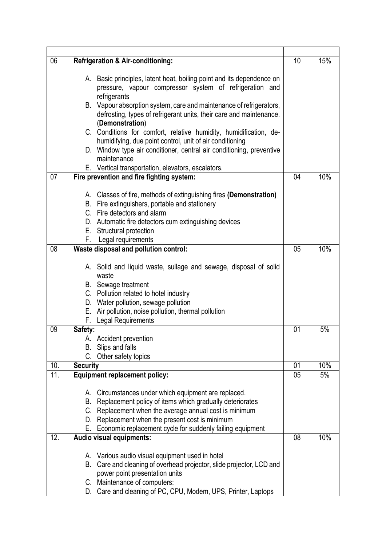| 06  | <b>Refrigeration &amp; Air-conditioning:</b>                                                                                     | 10 | 15% |
|-----|----------------------------------------------------------------------------------------------------------------------------------|----|-----|
|     |                                                                                                                                  |    |     |
|     | A. Basic principles, latent heat, boiling point and its dependence on<br>pressure, vapour compressor system of refrigeration and |    |     |
|     | refrigerants                                                                                                                     |    |     |
|     | B. Vapour absorption system, care and maintenance of refrigerators,                                                              |    |     |
|     | defrosting, types of refrigerant units, their care and maintenance.                                                              |    |     |
|     | (Demonstration)                                                                                                                  |    |     |
|     | C. Conditions for comfort, relative humidity, humidification, de-                                                                |    |     |
|     | humidifying, due point control, unit of air conditioning                                                                         |    |     |
|     | D. Window type air conditioner, central air conditioning, preventive                                                             |    |     |
|     | maintenance                                                                                                                      |    |     |
| 07  | E. Vertical transportation, elevators, escalators.<br>Fire prevention and fire fighting system:                                  | 04 | 10% |
|     |                                                                                                                                  |    |     |
|     | A. Classes of fire, methods of extinguishing fires (Demonstration)                                                               |    |     |
|     | B. Fire extinguishers, portable and stationery                                                                                   |    |     |
|     | C. Fire detectors and alarm                                                                                                      |    |     |
|     | D. Automatic fire detectors cum extinguishing devices                                                                            |    |     |
|     | E. Structural protection                                                                                                         |    |     |
|     | F. Legal requirements                                                                                                            |    | 10% |
| 08  | Waste disposal and pollution control:                                                                                            | 05 |     |
|     | A. Solid and liquid waste, sullage and sewage, disposal of solid                                                                 |    |     |
|     | waste                                                                                                                            |    |     |
|     | B. Sewage treatment                                                                                                              |    |     |
|     | C. Pollution related to hotel industry                                                                                           |    |     |
|     | D. Water pollution, sewage pollution                                                                                             |    |     |
|     | Е.<br>Air pollution, noise pollution, thermal pollution                                                                          |    |     |
|     | <b>Legal Requirements</b><br>F.                                                                                                  |    |     |
| 09  | Safety:                                                                                                                          | 01 | 5%  |
|     | A. Accident prevention<br>Slips and falls<br>В.                                                                                  |    |     |
|     | C. Other safety topics                                                                                                           |    |     |
| 10. | <b>Security</b>                                                                                                                  | 01 | 10% |
| 11. | <b>Equipment replacement policy:</b>                                                                                             | 05 | 5%  |
|     |                                                                                                                                  |    |     |
|     | Circumstances under which equipment are replaced.<br>А.                                                                          |    |     |
|     | Replacement policy of items which gradually deteriorates<br>В.                                                                   |    |     |
|     | C. Replacement when the average annual cost is minimum<br>D. Replacement when the present cost is minimum                        |    |     |
|     | Economic replacement cycle for suddenly failing equipment<br>Е.                                                                  |    |     |
| 12. | Audio visual equipments:                                                                                                         | 08 | 10% |
|     |                                                                                                                                  |    |     |
|     | A. Various audio visual equipment used in hotel                                                                                  |    |     |
|     | B. Care and cleaning of overhead projector, slide projector, LCD and                                                             |    |     |
|     | power point presentation units                                                                                                   |    |     |
|     | C. Maintenance of computers:                                                                                                     |    |     |
|     | D. Care and cleaning of PC, CPU, Modem, UPS, Printer, Laptops                                                                    |    |     |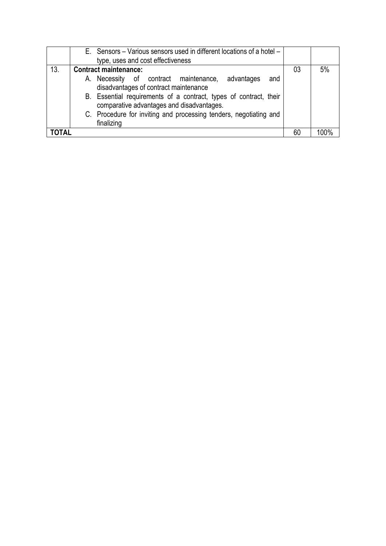|              | E. Sensors – Various sensors used in different locations of a hotel –                                          |     |    |      |
|--------------|----------------------------------------------------------------------------------------------------------------|-----|----|------|
|              | type, uses and cost effectiveness                                                                              |     |    |      |
| 13.          | <b>Contract maintenance:</b>                                                                                   |     | 03 | 5%   |
|              | A. Necessity of contract maintenance, advantages<br>disadvantages of contract maintenance                      | and |    |      |
|              | B. Essential requirements of a contract, types of contract, their<br>comparative advantages and disadvantages. |     |    |      |
|              | C. Procedure for inviting and processing tenders, negotiating and<br>finalizing                                |     |    |      |
| <b>TOTAL</b> |                                                                                                                |     | 60 | 100% |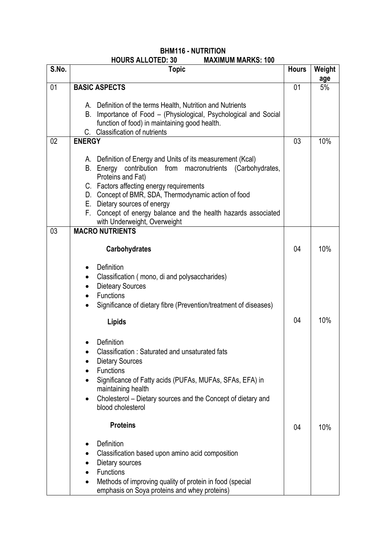| S.No. | ,,,,,,,,,,,,,,,,<br><b>Topic</b>                                                                                                                                                                                                                                                                                                                                                                                                                                       | <b>Hours</b> | Weight    |
|-------|------------------------------------------------------------------------------------------------------------------------------------------------------------------------------------------------------------------------------------------------------------------------------------------------------------------------------------------------------------------------------------------------------------------------------------------------------------------------|--------------|-----------|
| 01    | <b>BASIC ASPECTS</b>                                                                                                                                                                                                                                                                                                                                                                                                                                                   | 01           | age<br>5% |
|       | A. Definition of the terms Health, Nutrition and Nutrients<br>Importance of Food - (Physiological, Psychological and Social<br>В.<br>function of food) in maintaining good health.<br><b>Classification of nutrients</b><br>C.                                                                                                                                                                                                                                         |              |           |
| 02    | <b>ENERGY</b>                                                                                                                                                                                                                                                                                                                                                                                                                                                          | 03           | 10%       |
|       | A. Definition of Energy and Units of its measurement (Kcal)<br>B. Energy contribution from macronutrients (Carbohydrates,<br>Proteins and Fat)<br>C. Factors affecting energy requirements<br>D. Concept of BMR, SDA, Thermodynamic action of food<br>E. Dietary sources of energy<br>F. Concept of energy balance and the health hazards associated<br>with Underweight, Overweight                                                                                   |              |           |
| 03    | <b>MACRO NUTRIENTS</b>                                                                                                                                                                                                                                                                                                                                                                                                                                                 |              |           |
|       | <b>Carbohydrates</b>                                                                                                                                                                                                                                                                                                                                                                                                                                                   | 04           | 10%       |
|       | Definition<br>٠<br>Classification (mono, di and polysaccharides)<br><b>Dieteary Sources</b><br>$\bullet$<br><b>Functions</b><br>$\bullet$<br>Significance of dietary fibre (Prevention/treatment of diseases)<br>Lipids<br>Definition<br>Classification: Saturated and unsaturated fats                                                                                                                                                                                | 04           | 10%       |
|       | <b>Dietary Sources</b><br><b>Functions</b><br>Significance of Fatty acids (PUFAs, MUFAs, SFAs, EFA) in<br>maintaining health<br>Cholesterol - Dietary sources and the Concept of dietary and<br>$\bullet$<br>blood cholesterol<br><b>Proteins</b><br>Definition<br>Classification based upon amino acid composition<br>Dietary sources<br><b>Functions</b><br>Methods of improving quality of protein in food (special<br>emphasis on Soya proteins and whey proteins) | 04           | 10%       |

#### **BHM116 - NUTRITION MAXIMUM MARKS: 100**